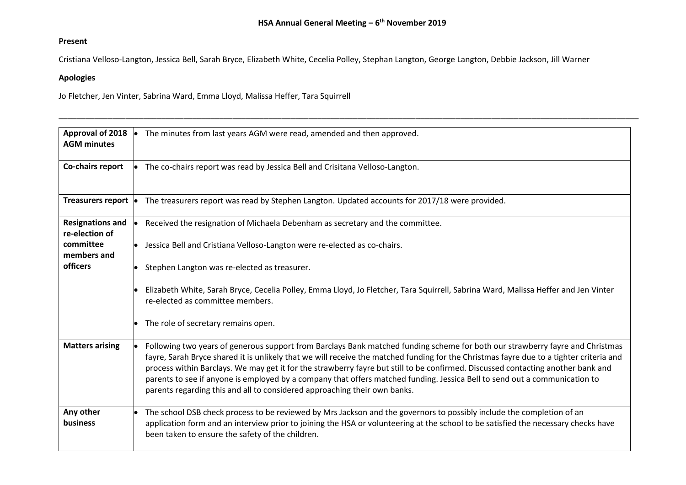\_\_\_\_\_\_\_\_\_\_\_\_\_\_\_\_\_\_\_\_\_\_\_\_\_\_\_\_\_\_\_\_\_\_\_\_\_\_\_\_\_\_\_\_\_\_\_\_\_\_\_\_\_\_\_\_\_\_\_\_\_\_\_\_\_\_\_\_\_\_\_\_\_\_\_\_\_\_\_\_\_\_\_\_\_\_\_\_\_\_\_\_\_\_\_\_\_\_\_\_\_\_\_\_\_\_\_\_\_\_\_\_\_\_\_\_\_\_\_\_\_\_\_\_\_\_\_\_\_\_

## **Present**

Cristiana Velloso-Langton, Jessica Bell, Sarah Bryce, Elizabeth White, Cecelia Polley, Stephan Langton, George Langton, Debbie Jackson, Jill Warner

## **Apologies**

Jo Fletcher, Jen Vinter, Sabrina Ward, Emma Lloyd, Malissa Heffer, Tara Squirrell

| Approval of 2018                          | The minutes from last years AGM were read, amended and then approved.                                                                                                                                                                                                                                                                                                                                                                                                                                                                                                                                                   |
|-------------------------------------------|-------------------------------------------------------------------------------------------------------------------------------------------------------------------------------------------------------------------------------------------------------------------------------------------------------------------------------------------------------------------------------------------------------------------------------------------------------------------------------------------------------------------------------------------------------------------------------------------------------------------------|
| <b>AGM</b> minutes                        |                                                                                                                                                                                                                                                                                                                                                                                                                                                                                                                                                                                                                         |
| Co-chairs report                          | The co-chairs report was read by Jessica Bell and Crisitana Velloso-Langton.                                                                                                                                                                                                                                                                                                                                                                                                                                                                                                                                            |
| Treasurers report                         | The treasurers report was read by Stephen Langton. Updated accounts for 2017/18 were provided.                                                                                                                                                                                                                                                                                                                                                                                                                                                                                                                          |
|                                           |                                                                                                                                                                                                                                                                                                                                                                                                                                                                                                                                                                                                                         |
| <b>Resignations and</b><br>re-election of | Received the resignation of Michaela Debenham as secretary and the committee.                                                                                                                                                                                                                                                                                                                                                                                                                                                                                                                                           |
| committee<br>members and                  | Jessica Bell and Cristiana Velloso-Langton were re-elected as co-chairs.                                                                                                                                                                                                                                                                                                                                                                                                                                                                                                                                                |
| <b>officers</b>                           | Stephen Langton was re-elected as treasurer.                                                                                                                                                                                                                                                                                                                                                                                                                                                                                                                                                                            |
|                                           | Elizabeth White, Sarah Bryce, Cecelia Polley, Emma Lloyd, Jo Fletcher, Tara Squirrell, Sabrina Ward, Malissa Heffer and Jen Vinter<br>re-elected as committee members.                                                                                                                                                                                                                                                                                                                                                                                                                                                  |
|                                           | The role of secretary remains open.                                                                                                                                                                                                                                                                                                                                                                                                                                                                                                                                                                                     |
| <b>Matters arising</b>                    | Following two years of generous support from Barclays Bank matched funding scheme for both our strawberry fayre and Christmas<br>fayre, Sarah Bryce shared it is unlikely that we will receive the matched funding for the Christmas fayre due to a tighter criteria and<br>process within Barclays. We may get it for the strawberry fayre but still to be confirmed. Discussed contacting another bank and<br>parents to see if anyone is employed by a company that offers matched funding. Jessica Bell to send out a communication to<br>parents regarding this and all to considered approaching their own banks. |
| Any other<br>business                     | The school DSB check process to be reviewed by Mrs Jackson and the governors to possibly include the completion of an<br>application form and an interview prior to joining the HSA or volunteering at the school to be satisfied the necessary checks have<br>been taken to ensure the safety of the children.                                                                                                                                                                                                                                                                                                         |